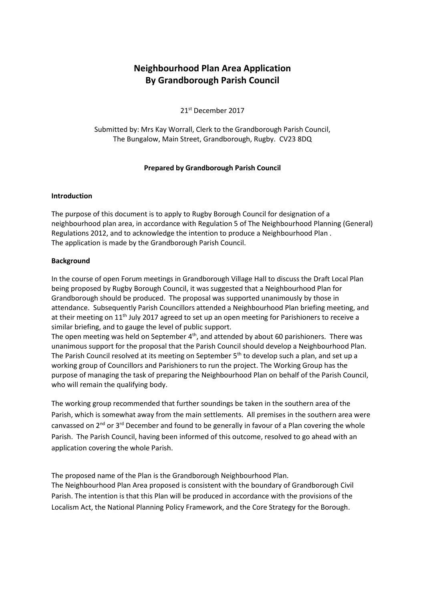# **Neighbourhood Plan Area Application By Grandborough Parish Council**

21st December 2017

Submitted by: Mrs Kay Worrall, Clerk to the Grandborough Parish Council, The Bungalow, Main Street, Grandborough, Rugby. CV23 8DQ

# **Prepared by Grandborough Parish Council**

# **Introduction**

The purpose of this document is to apply to Rugby Borough Council for designation of a neighbourhood plan area, in accordance with Regulation 5 of The Neighbourhood Planning (General) Regulations 2012, and to acknowledge the intention to produce a Neighbourhood Plan . The application is made by the Grandborough Parish Council.

# **Background**

In the course of open Forum meetings in Grandborough Village Hall to discuss the Draft Local Plan being proposed by Rugby Borough Council, it was suggested that a Neighbourhood Plan for Grandborough should be produced. The proposal was supported unanimously by those in attendance. Subsequently Parish Councillors attended a Neighbourhood Plan briefing meeting, and at their meeting on 11<sup>th</sup> July 2017 agreed to set up an open meeting for Parishioners to receive a similar briefing, and to gauge the level of public support.

The open meeting was held on September 4<sup>th</sup>, and attended by about 60 parishioners. There was unanimous support for the proposal that the Parish Council should develop a Neighbourhood Plan. The Parish Council resolved at its meeting on September 5<sup>th</sup> to develop such a plan, and set up a working group of Councillors and Parishioners to run the project. The Working Group has the purpose of managing the task of preparing the Neighbourhood Plan on behalf of the Parish Council, who will remain the qualifying body.

The working group recommended that further soundings be taken in the southern area of the Parish, which is somewhat away from the main settlements. All premises in the southern area were canvassed on  $2^{nd}$  or  $3^{rd}$  December and found to be generally in favour of a Plan covering the whole Parish. The Parish Council, having been informed of this outcome, resolved to go ahead with an application covering the whole Parish.

The proposed name of the Plan is the Grandborough Neighbourhood Plan. The Neighbourhood Plan Area proposed is consistent with the boundary of Grandborough Civil Parish. The intention is that this Plan will be produced in accordance with the provisions of the Localism Act, the National Planning Policy Framework, and the Core Strategy for the Borough.